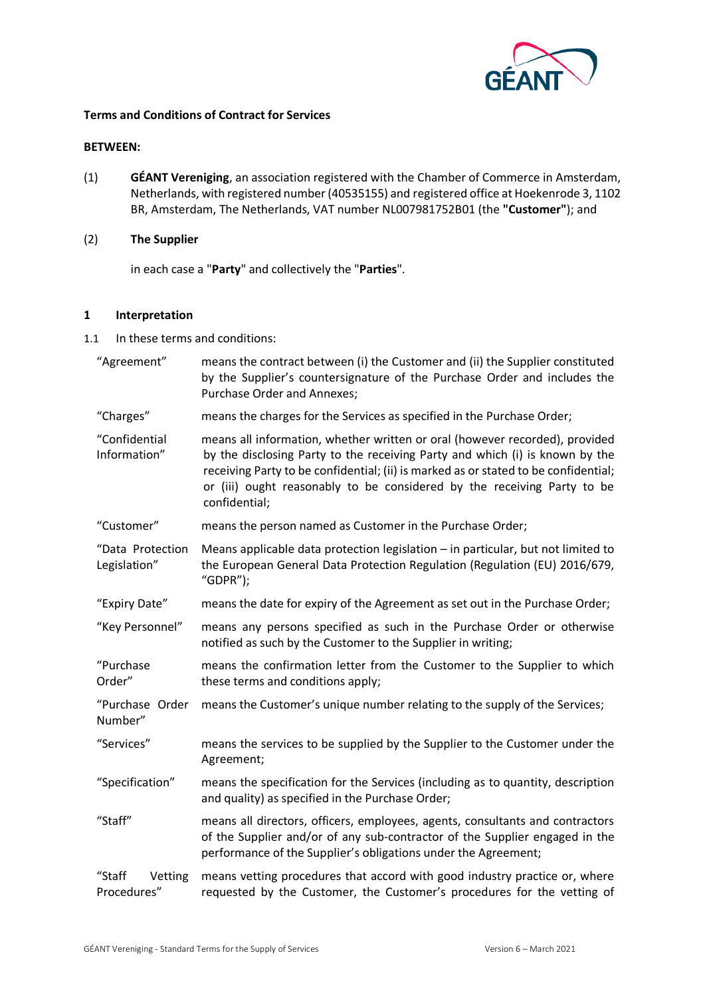

## **Terms and Conditions of Contract for Services**

## **BETWEEN:**

(1) **GÉANT Vereniging**, an association registered with the Chamber of Commerce in Amsterdam, Netherlands, with registered number (40535155) and registered office at Hoekenrode 3, 1102 BR, Amsterdam, The Netherlands, VAT number NL007981752B01 (the **"Customer"**); and

#### (2) **The Supplier**

in each case a "**Party**" and collectively the "**Parties**".

#### **1 Interpretation**

1.1 In these terms and conditions:

| "Agreement"                      | means the contract between (i) the Customer and (ii) the Supplier constituted<br>by the Supplier's countersignature of the Purchase Order and includes the<br><b>Purchase Order and Annexes;</b>                                                                                                                                               |  |
|----------------------------------|------------------------------------------------------------------------------------------------------------------------------------------------------------------------------------------------------------------------------------------------------------------------------------------------------------------------------------------------|--|
| "Charges"                        | means the charges for the Services as specified in the Purchase Order;                                                                                                                                                                                                                                                                         |  |
| "Confidential<br>Information"    | means all information, whether written or oral (however recorded), provided<br>by the disclosing Party to the receiving Party and which (i) is known by the<br>receiving Party to be confidential; (ii) is marked as or stated to be confidential;<br>or (iii) ought reasonably to be considered by the receiving Party to be<br>confidential; |  |
| "Customer"                       | means the person named as Customer in the Purchase Order;                                                                                                                                                                                                                                                                                      |  |
| "Data Protection<br>Legislation" | Means applicable data protection legislation - in particular, but not limited to<br>the European General Data Protection Regulation (Regulation (EU) 2016/679,<br>"GDPR");                                                                                                                                                                     |  |
| "Expiry Date"                    | means the date for expiry of the Agreement as set out in the Purchase Order;                                                                                                                                                                                                                                                                   |  |
| "Key Personnel"                  | means any persons specified as such in the Purchase Order or otherwise<br>notified as such by the Customer to the Supplier in writing;                                                                                                                                                                                                         |  |
| "Purchase<br>Order"              | means the confirmation letter from the Customer to the Supplier to which<br>these terms and conditions apply;                                                                                                                                                                                                                                  |  |
| "Purchase Order<br>Number"       | means the Customer's unique number relating to the supply of the Services;                                                                                                                                                                                                                                                                     |  |
| "Services"                       | means the services to be supplied by the Supplier to the Customer under the<br>Agreement;                                                                                                                                                                                                                                                      |  |
| "Specification"                  | means the specification for the Services (including as to quantity, description<br>and quality) as specified in the Purchase Order;                                                                                                                                                                                                            |  |
| "Staff"                          | means all directors, officers, employees, agents, consultants and contractors<br>of the Supplier and/or of any sub-contractor of the Supplier engaged in the<br>performance of the Supplier's obligations under the Agreement;                                                                                                                 |  |
| "Staff<br>Vetting<br>Procedures" | means vetting procedures that accord with good industry practice or, where<br>requested by the Customer, the Customer's procedures for the vetting of                                                                                                                                                                                          |  |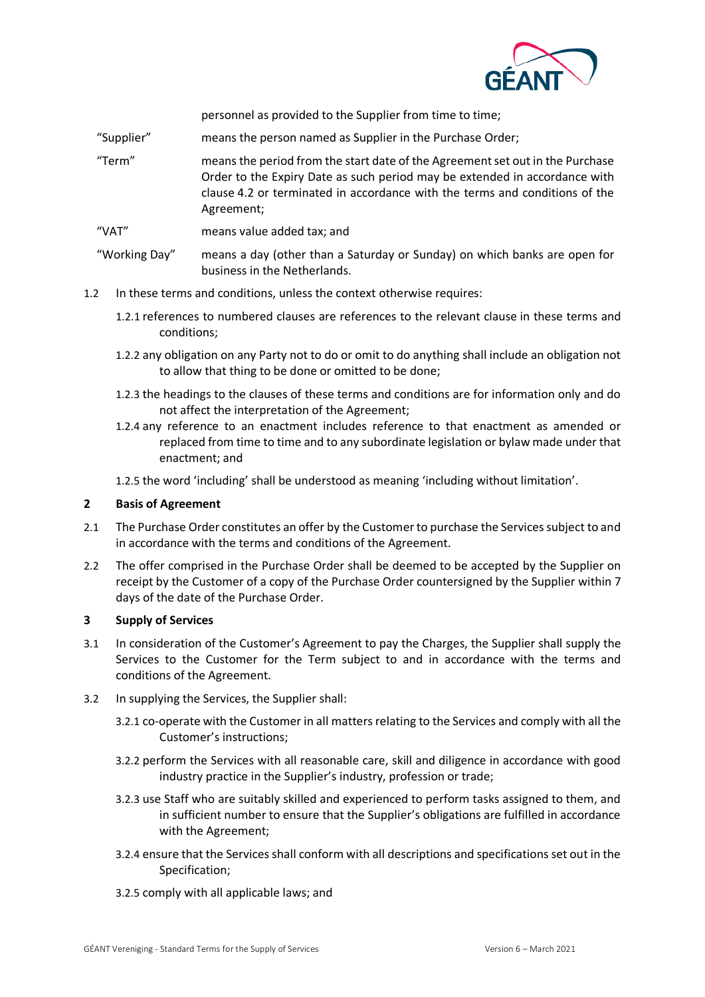

personnel as provided to the Supplier from time to time;

- "Supplier" means the person named as Supplier in the Purchase Order;
- "Term" means the period from the start date of the Agreement set out in the Purchase Order to the Expiry Date as such period may be extended in accordance with clause [4.2](#page-2-0) or terminated in accordance with the terms and conditions of the Agreement;
- "VAT" means value added tax; and

"Working Day" means a day (other than a Saturday or Sunday) on which banks are open for business in the Netherlands.

- 1.2 In these terms and conditions, unless the context otherwise requires:
	- 1.2.1 references to numbered clauses are references to the relevant clause in these terms and conditions;
	- 1.2.2 any obligation on any Party not to do or omit to do anything shall include an obligation not to allow that thing to be done or omitted to be done;
	- 1.2.3 the headings to the clauses of these terms and conditions are for information only and do not affect the interpretation of the Agreement;
	- 1.2.4 any reference to an enactment includes reference to that enactment as amended or replaced from time to time and to any subordinate legislation or bylaw made under that enactment; and
	- 1.2.5 the word 'including' shall be understood as meaning 'including without limitation'.

#### <span id="page-1-0"></span>**2 Basis of Agreement**

- 2.1 The Purchase Order constitutes an offer by the Customer to purchase the Services subject to and in accordance with the terms and conditions of the Agreement.
- 2.2 The offer comprised in the Purchase Order shall be deemed to be accepted by the Supplier on receipt by the Customer of a copy of the Purchase Order countersigned by the Supplier within 7 days of the date of the Purchase Order.

#### **3 Supply of Services**

- 3.1 In consideration of the Customer's Agreement to pay the Charges, the Supplier shall supply the Services to the Customer for the Term subject to and in accordance with the terms and conditions of the Agreement.
- <span id="page-1-1"></span>3.2 In supplying the Services, the Supplier shall:
	- 3.2.1 co-operate with the Customer in all matters relating to the Services and comply with all the Customer's instructions;
	- 3.2.2 perform the Services with all reasonable care, skill and diligence in accordance with good industry practice in the Supplier's industry, profession or trade;
	- 3.2.3 use Staff who are suitably skilled and experienced to perform tasks assigned to them, and in sufficient number to ensure that the Supplier's obligations are fulfilled in accordance with the Agreement;
	- 3.2.4 ensure that the Services shall conform with all descriptions and specifications set out in the Specification;
	- 3.2.5 comply with all applicable laws; and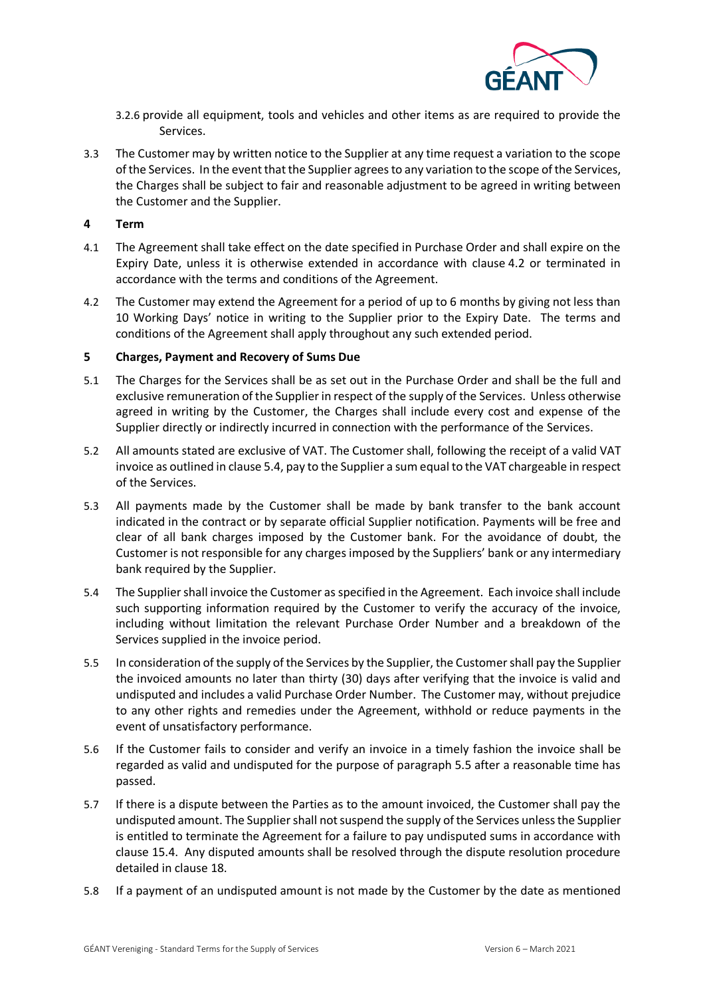

- <span id="page-2-1"></span>3.2.6 provide all equipment, tools and vehicles and other items as are required to provide the Services.
- 3.3 The Customer may by written notice to the Supplier at any time request a variation to the scope of the Services. In the event that the Supplier agrees to any variation to the scope of the Services, the Charges shall be subject to fair and reasonable adjustment to be agreed in writing between the Customer and the Supplier.

## **4 Term**

- 4.1 The Agreement shall take effect on the date specified in Purchase Order and shall expire on the Expiry Date, unless it is otherwise extended in accordance with clause [4.2](#page-2-0) or terminated in accordance with the terms and conditions of the Agreement.
- <span id="page-2-0"></span>4.2 The Customer may extend the Agreement for a period of up to 6 months by giving not less than 10 Working Days' notice in writing to the Supplier prior to the Expiry Date. The terms and conditions of the Agreement shall apply throughout any such extended period.

## **5 Charges, Payment and Recovery of Sums Due**

- 5.1 The Charges for the Services shall be as set out in the Purchase Order and shall be the full and exclusive remuneration of the Supplier in respect of the supply of the Services. Unless otherwise agreed in writing by the Customer, the Charges shall include every cost and expense of the Supplier directly or indirectly incurred in connection with the performance of the Services.
- 5.2 All amounts stated are exclusive of VAT. The Customer shall, following the receipt of a valid VAT invoice as outlined in clause 5.4, pay to the Supplier a sum equal to the VAT chargeable in respect of the Services.
- 5.3 All payments made by the Customer shall be made by bank transfer to the bank account indicated in the contract or by separate official Supplier notification. Payments will be free and clear of all bank charges imposed by the Customer bank. For the avoidance of doubt, the Customer is not responsible for any charges imposed by the Suppliers' bank or any intermediary bank required by the Supplier.
- 5.4 The Supplier shall invoice the Customer as specified in the Agreement. Each invoice shall include such supporting information required by the Customer to verify the accuracy of the invoice, including without limitation the relevant Purchase Order Number and a breakdown of the Services supplied in the invoice period.
- 5.5 In consideration of the supply of the Services by the Supplier, the Customer shall pay the Supplier the invoiced amounts no later than thirty (30) days after verifying that the invoice is valid and undisputed and includes a valid Purchase Order Number. The Customer may, without prejudice to any other rights and remedies under the Agreement, withhold or reduce payments in the event of unsatisfactory performance.
- 5.6 If the Customer fails to consider and verify an invoice in a timely fashion the invoice shall be regarded as valid and undisputed for the purpose of paragraph 5.5 after a reasonable time has passed.
- 5.7 If there is a dispute between the Parties as to the amount invoiced, the Customer shall pay the undisputed amount. The Supplier shall not suspend the supply of the Services unless the Supplier is entitled to terminate the Agreement for a failure to pay undisputed sums in accordance with clause [15.4.](#page-9-0) Any disputed amounts shall be resolved through the dispute resolution procedure detailed in clause [18.](#page-10-0)
- 5.8 If a payment of an undisputed amount is not made by the Customer by the date as mentioned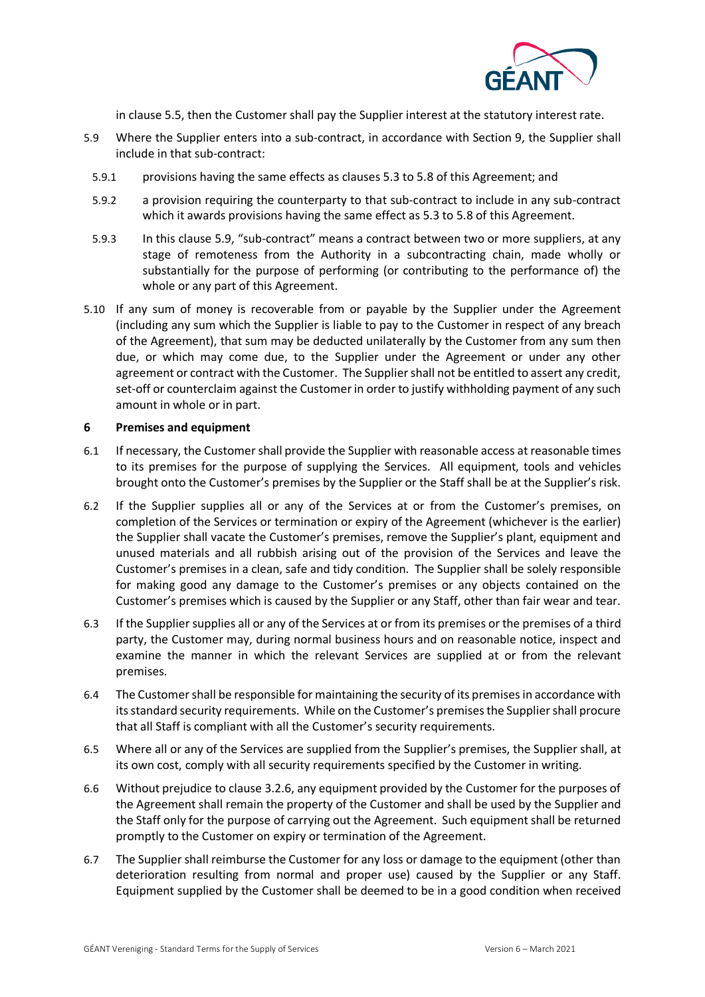

in clause 5.5, then the Customer shall pay the Supplier interest at the statutory interest rate.

- 5.9 Where the Supplier enters into a sub-contract, in accordance with Section 9, the Supplier shall include in that sub-contract:
	- 5.9.1 provisions having the same effects as clauses 5.3 to 5.8 of this Agreement; and
	- 5.9.2 a provision requiring the counterparty to that sub-contract to include in any sub-contract which it awards provisions having the same effect as 5.3 to 5.8 of this Agreement.
	- 5.9.3 In this clause 5.9, "sub-contract" means a contract between two or more suppliers, at any stage of remoteness from the Authority in a subcontracting chain, made wholly or substantially for the purpose of performing (or contributing to the performance of) the whole or any part of this Agreement.
- 5.10 If any sum of money is recoverable from or payable by the Supplier under the Agreement (including any sum which the Supplier is liable to pay to the Customer in respect of any breach of the Agreement), that sum may be deducted unilaterally by the Customer from any sum then due, or which may come due, to the Supplier under the Agreement or under any other agreement or contract with the Customer. The Supplier shall not be entitled to assert any credit, set-off or counterclaim against the Customer in order to justify withholding payment of any such amount in whole or in part.

## **6 Premises and equipment**

- <span id="page-3-0"></span>6.1 If necessary, the Customer shall provide the Supplier with reasonable access at reasonable times to its premises for the purpose of supplying the Services. All equipment, tools and vehicles brought onto the Customer's premises by the Supplier or the Staff shall be at the Supplier's risk.
- <span id="page-3-1"></span>6.2 If the Supplier supplies all or any of the Services at or from the Customer's premises, on completion of the Services or termination or expiry of the Agreement (whichever is the earlier) the Supplier shall vacate the Customer's premises, remove the Supplier's plant, equipment and unused materials and all rubbish arising out of the provision of the Services and leave the Customer's premises in a clean, safe and tidy condition. The Supplier shall be solely responsible for making good any damage to the Customer's premises or any objects contained on the Customer's premises which is caused by the Supplier or any Staff, other than fair wear and tear.
- 6.3 If the Supplier supplies all or any of the Services at or from its premises or the premises of a third party, the Customer may, during normal business hours and on reasonable notice, inspect and examine the manner in which the relevant Services are supplied at or from the relevant premises.
- 6.4 The Customer shall be responsible for maintaining the security of its premises in accordance with its standard security requirements. While on the Customer's premises the Supplier shall procure that all Staff is compliant with all the Customer's security requirements.
- 6.5 Where all or any of the Services are supplied from the Supplier's premises, the Supplier shall, at its own cost, comply with all security requirements specified by the Customer in writing.
- <span id="page-3-2"></span>6.6 Without prejudice to clause [3.2.6,](#page-2-1) any equipment provided by the Customer for the purposes of the Agreement shall remain the property of the Customer and shall be used by the Supplier and the Staff only for the purpose of carrying out the Agreement. Such equipment shall be returned promptly to the Customer on expiry or termination of the Agreement.
- <span id="page-3-3"></span>6.7 The Supplier shall reimburse the Customer for any loss or damage to the equipment (other than deterioration resulting from normal and proper use) caused by the Supplier or any Staff. Equipment supplied by the Customer shall be deemed to be in a good condition when received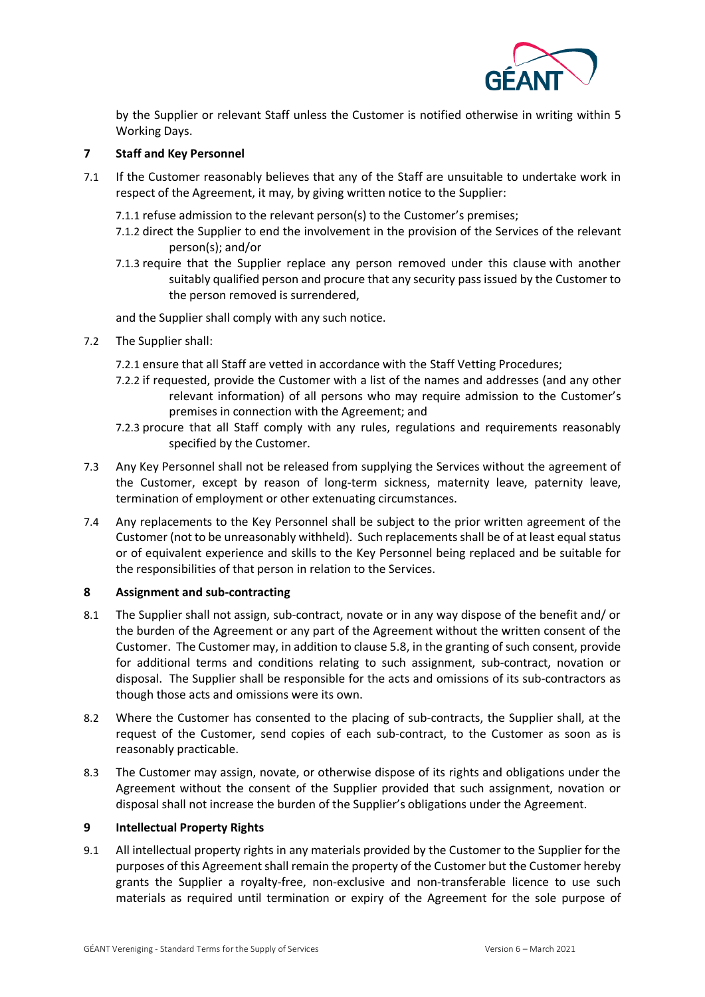

by the Supplier or relevant Staff unless the Customer is notified otherwise in writing within 5 Working Days.

## <span id="page-4-1"></span>**7 Staff and Key Personnel**

7.1 If the Customer reasonably believes that any of the Staff are unsuitable to undertake work in respect of the Agreement, it may, by giving written notice to the Supplier:

7.1.1 refuse admission to the relevant person(s) to the Customer's premises;

- 7.1.2 direct the Supplier to end the involvement in the provision of the Services of the relevant person(s); and/or
- 7.1.3 require that the Supplier replace any person removed under this clause with another suitably qualified person and procure that any security pass issued by the Customer to the person removed is surrendered,

and the Supplier shall comply with any such notice.

- <span id="page-4-0"></span>7.2 The Supplier shall:
	- 7.2.1 ensure that all Staff are vetted in accordance with the Staff Vetting Procedures;
	- 7.2.2 if requested, provide the Customer with a list of the names and addresses (and any other relevant information) of all persons who may require admission to the Customer's premises in connection with the Agreement; and
	- 7.2.3 procure that all Staff comply with any rules, regulations and requirements reasonably specified by the Customer.
- 7.3 Any Key Personnel shall not be released from supplying the Services without the agreement of the Customer, except by reason of long-term sickness, maternity leave, paternity leave, termination of employment or other extenuating circumstances.
- 7.4 Any replacements to the Key Personnel shall be subject to the prior written agreement of the Customer (not to be unreasonably withheld). Such replacements shall be of at least equal status or of equivalent experience and skills to the Key Personnel being replaced and be suitable for the responsibilities of that person in relation to the Services.

## **8 Assignment and sub-contracting**

- 8.1 The Supplier shall not assign, sub-contract, novate or in any way dispose of the benefit and/ or the burden of the Agreement or any part of the Agreement without the written consent of the Customer. The Customer may, in addition to clause 5.8, in the granting of such consent, provide for additional terms and conditions relating to such assignment, sub-contract, novation or disposal. The Supplier shall be responsible for the acts and omissions of its sub-contractors as though those acts and omissions were its own.
- 8.2 Where the Customer has consented to the placing of sub-contracts, the Supplier shall, at the request of the Customer, send copies of each sub-contract, to the Customer as soon as is reasonably practicable.
- 8.3 The Customer may assign, novate, or otherwise dispose of its rights and obligations under the Agreement without the consent of the Supplier provided that such assignment, novation or disposal shall not increase the burden of the Supplier's obligations under the Agreement.

## <span id="page-4-2"></span>**9 Intellectual Property Rights**

9.1 All intellectual property rights in any materials provided by the Customer to the Supplier for the purposes of this Agreement shall remain the property of the Customer but the Customer hereby grants the Supplier a royalty-free, non-exclusive and non-transferable licence to use such materials as required until termination or expiry of the Agreement for the sole purpose of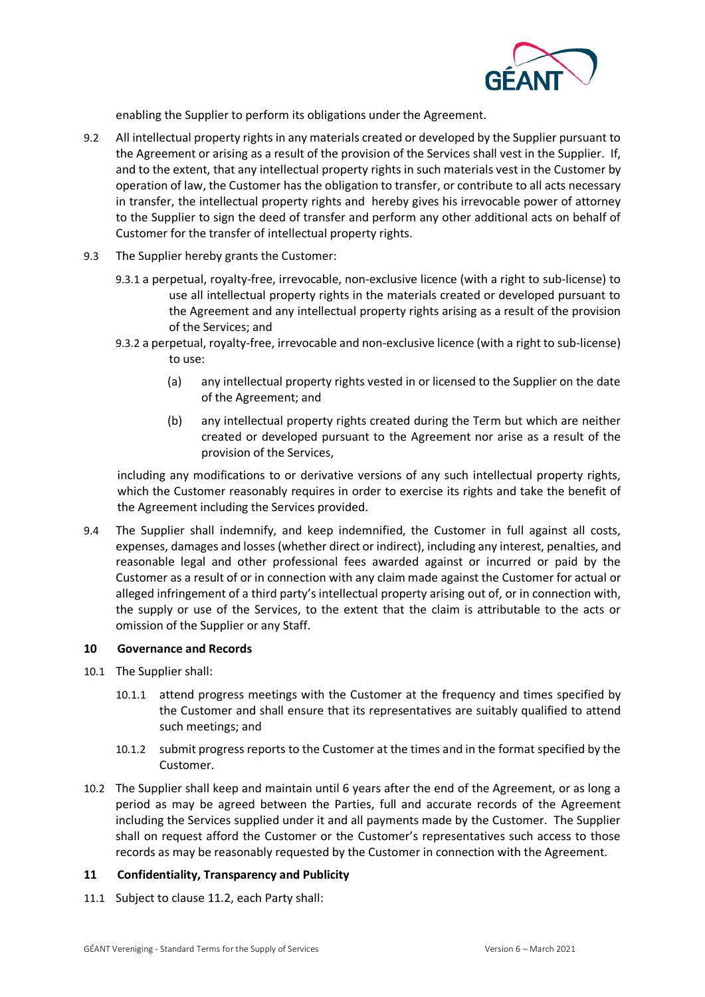

enabling the Supplier to perform its obligations under the Agreement.

- 9.2 All intellectual property rights in any materials created or developed by the Supplier pursuant to the Agreement or arising as a result of the provision of the Services shall vest in the Supplier. If, and to the extent, that any intellectual property rights in such materials vest in the Customer by operation of law, the Customer has the obligation to transfer, or contribute to all acts necessary in transfer, the intellectual property rights and hereby gives his irrevocable power of attorney to the Supplier to sign the deed of transfer and perform any other additional acts on behalf of Customer for the transfer of intellectual property rights.
- 9.3 The Supplier hereby grants the Customer:
	- 9.3.1 a perpetual, royalty-free, irrevocable, non-exclusive licence (with a right to sub-license) to use all intellectual property rights in the materials created or developed pursuant to the Agreement and any intellectual property rights arising as a result of the provision of the Services; and
	- 9.3.2 a perpetual, royalty-free, irrevocable and non-exclusive licence (with a right to sub-license) to use:
		- (a) any intellectual property rights vested in or licensed to the Supplier on the date of the Agreement; and
		- (b) any intellectual property rights created during the Term but which are neither created or developed pursuant to the Agreement nor arise as a result of the provision of the Services,

including any modifications to or derivative versions of any such intellectual property rights, which the Customer reasonably requires in order to exercise its rights and take the benefit of the Agreement including the Services provided.

<span id="page-5-1"></span>9.4 The Supplier shall indemnify, and keep indemnified, the Customer in full against all costs, expenses, damages and losses (whether direct or indirect), including any interest, penalties, and reasonable legal and other professional fees awarded against or incurred or paid by the Customer as a result of or in connection with any claim made against the Customer for actual or alleged infringement of a third party's intellectual property arising out of, or in connection with, the supply or use of the Services, to the extent that the claim is attributable to the acts or omission of the Supplier or any Staff.

## **10 Governance and Records**

- 10.1 The Supplier shall:
	- 10.1.1 attend progress meetings with the Customer at the frequency and times specified by the Customer and shall ensure that its representatives are suitably qualified to attend such meetings; and
	- 10.1.2 submit progress reports to the Customer at the times and in the format specified by the Customer.
- <span id="page-5-3"></span>10.2 The Supplier shall keep and maintain until 6 years after the end of the Agreement, or as long a period as may be agreed between the Parties, full and accurate records of the Agreement including the Services supplied under it and all payments made by the Customer. The Supplier shall on request afford the Customer or the Customer's representatives such access to those records as may be reasonably requested by the Customer in connection with the Agreement.

## <span id="page-5-2"></span>**11 Confidentiality, Transparency and Publicity**

<span id="page-5-0"></span>11.1 Subject to clause [11.2,](#page-6-0) each Party shall: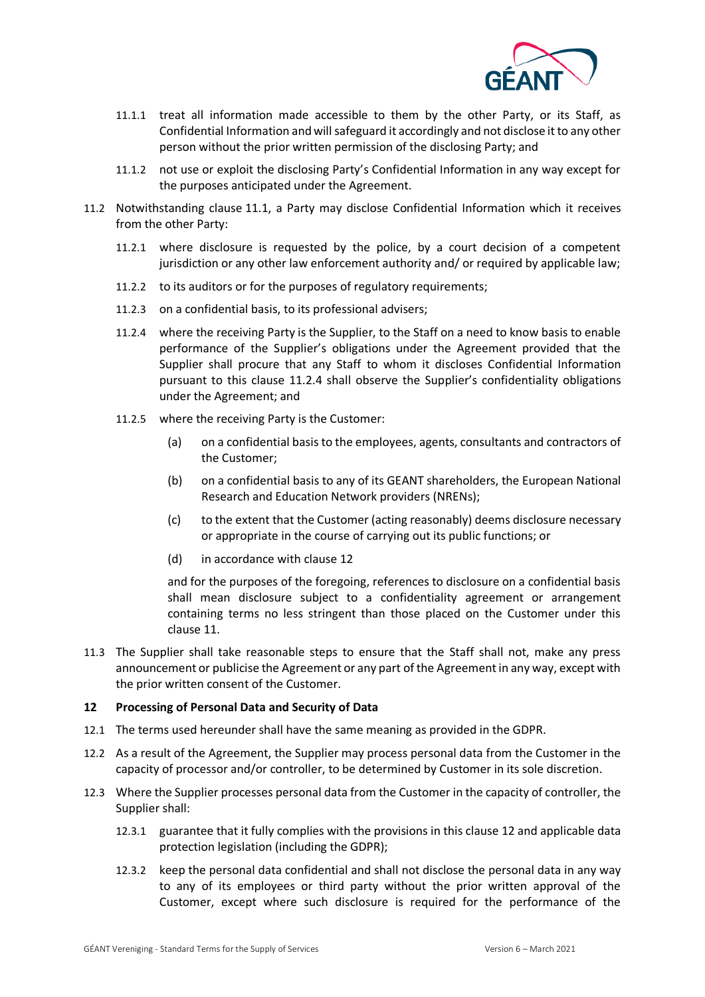

- 11.1.1 treat all information made accessible to them by the other Party, or its Staff, as Confidential Information and will safeguard it accordingly and not disclose it to any other person without the prior written permission of the disclosing Party; and
- 11.1.2 not use or exploit the disclosing Party's Confidential Information in any way except for the purposes anticipated under the Agreement.
- <span id="page-6-1"></span><span id="page-6-0"></span>11.2 Notwithstanding clause [11.1,](#page-5-0) a Party may disclose Confidential Information which it receives from the other Party:
	- 11.2.1 where disclosure is requested by the police, by a court decision of a competent jurisdiction or any other law enforcement authority and/ or required by applicable law;
	- 11.2.2 to its auditors or for the purposes of regulatory requirements;
	- 11.2.3 on a confidential basis, to its professional advisers;
	- 11.2.4 where the receiving Party is the Supplier, to the Staff on a need to know basis to enable performance of the Supplier's obligations under the Agreement provided that the Supplier shall procure that any Staff to whom it discloses Confidential Information pursuant to this clause [11.2.4](#page-6-1) shall observe the Supplier's confidentiality obligations under the Agreement; and
	- 11.2.5 where the receiving Party is the Customer:
		- (a) on a confidential basis to the employees, agents, consultants and contractors of the Customer;
		- (b) on a confidential basis to any of its GEANT shareholders, the European National Research and Education Network providers (NRENs);
		- (c) to the extent that the Customer (acting reasonably) deems disclosure necessary or appropriate in the course of carrying out its public functions; or
		- (d) in accordance with clause 12

and for the purposes of the foregoing, references to disclosure on a confidential basis shall mean disclosure subject to a confidentiality agreement or arrangement containing terms no less stringent than those placed on the Customer under this clause 11.

11.3 The Supplier shall take reasonable steps to ensure that the Staff shall not, make any press announcement or publicise the Agreement or any part of the Agreement in any way, except with the prior written consent of the Customer.

## <span id="page-6-2"></span>**12 Processing of Personal Data and Security of Data**

- 12.1 The terms used hereunder shall have the same meaning as provided in the GDPR.
- 12.2 As a result of the Agreement, the Supplier may process personal data from the Customer in the capacity of processor and/or controller, to be determined by Customer in its sole discretion.
- 12.3 Where the Supplier processes personal data from the Customer in the capacity of controller, the Supplier shall:
	- 12.3.1 guarantee that it fully complies with the provisions in this clause 12 and applicable data protection legislation (including the GDPR);
	- 12.3.2 keep the personal data confidential and shall not disclose the personal data in any way to any of its employees or third party without the prior written approval of the Customer, except where such disclosure is required for the performance of the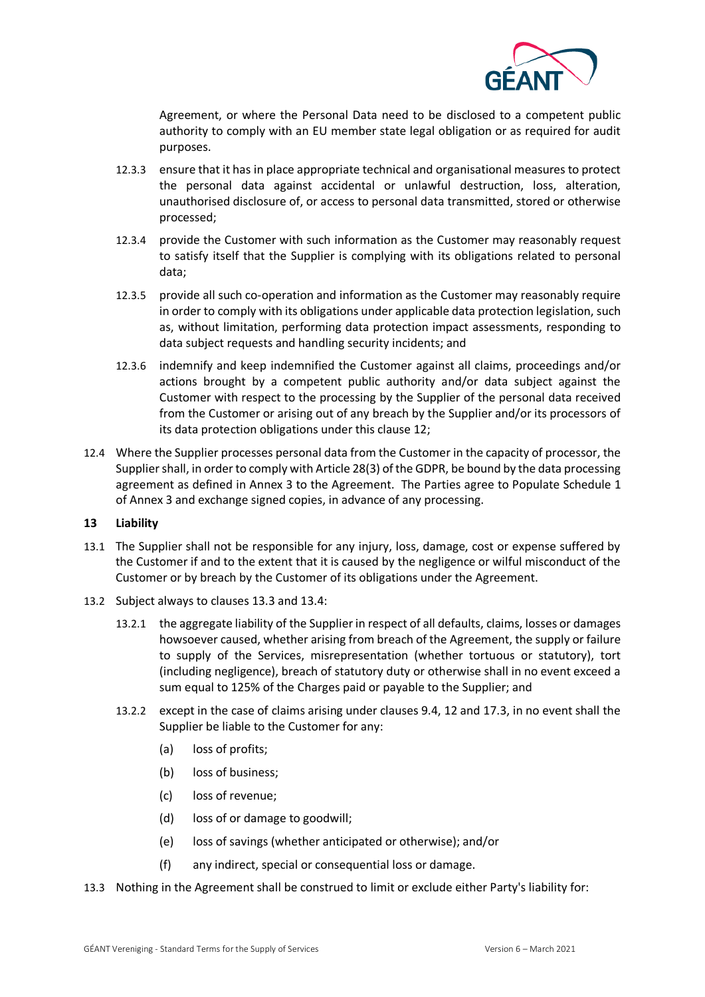

Agreement, or where the Personal Data need to be disclosed to a competent public authority to comply with an EU member state legal obligation or as required for audit purposes.

- 12.3.3 ensure that it has in place appropriate technical and organisational measures to protect the personal data against accidental or unlawful destruction, loss, alteration, unauthorised disclosure of, or access to personal data transmitted, stored or otherwise processed;
- 12.3.4 provide the Customer with such information as the Customer may reasonably request to satisfy itself that the Supplier is complying with its obligations related to personal data;
- 12.3.5 provide all such co-operation and information as the Customer may reasonably require in order to comply with its obligations under applicable data protection legislation, such as, without limitation, performing data protection impact assessments, responding to data subject requests and handling security incidents; and
- <span id="page-7-1"></span>12.3.6 indemnify and keep indemnified the Customer against all claims, proceedings and/or actions brought by a competent public authority and/or data subject against the Customer with respect to the processing by the Supplier of the personal data received from the Customer or arising out of any breach by the Supplier and/or its processors of its data protection obligations under this clause 12;
- 12.4 Where the Supplier processes personal data from the Customer in the capacity of processor, the Supplier shall, in order to comply with Article 28(3) of the GDPR, be bound by the data processing agreement as defined in Annex 3 to the Agreement. The Parties agree to Populate Schedule 1 of Annex 3 and exchange signed copies, in advance of any processing.

## <span id="page-7-2"></span>**13 Liability**

- 13.1 The Supplier shall not be responsible for any injury, loss, damage, cost or expense suffered by the Customer if and to the extent that it is caused by the negligence or wilful misconduct of the Customer or by breach by the Customer of its obligations under the Agreement.
- 13.2 Subject always to clauses [13.3](#page-7-0) and [13.4:](#page-8-0)
	- 13.2.1 the aggregate liability of the Supplier in respect of all defaults, claims, losses or damages howsoever caused, whether arising from breach of the Agreement, the supply or failure to supply of the Services, misrepresentation (whether tortuous or statutory), tort (including negligence), breach of statutory duty or otherwise shall in no event exceed a sum equal to 125% of the Charges paid or payable to the Supplier; and
	- 13.2.2 except in the case of claims arising under clauses [9.4,](#page-5-1) 12 and [17.3,](#page-10-1) in no event shall the Supplier be liable to the Customer for any:
		- (a) loss of profits;
		- (b) loss of business;
		- (c) loss of revenue;
		- (d) loss of or damage to goodwill;
		- (e) loss of savings (whether anticipated or otherwise); and/or
		- (f) any indirect, special or consequential loss or damage.
- <span id="page-7-0"></span>13.3 Nothing in the Agreement shall be construed to limit or exclude either Party's liability for: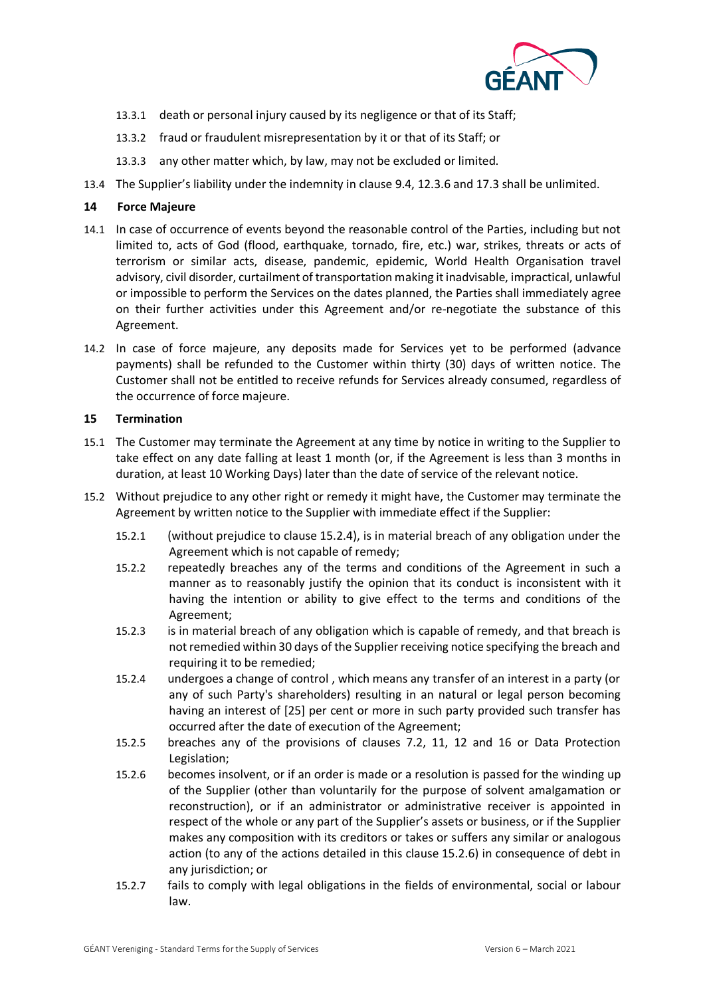

- 13.3.1 death or personal injury caused by its negligence or that of its Staff;
- 13.3.2 fraud or fraudulent misrepresentation by it or that of its Staff; or
- 13.3.3 any other matter which, by law, may not be excluded or limited.
- <span id="page-8-0"></span>13.4 The Supplier's liability under the indemnity in clause [9.4,](#page-5-1) [12.3.6](#page-7-1) and [17.3](#page-10-1) shall be unlimited.

# <span id="page-8-4"></span>**14 Force Majeure**

- <span id="page-8-5"></span>14.1 In case of occurrence of events beyond the reasonable control of the Parties, including but not limited to, acts of God (flood, earthquake, tornado, fire, etc.) war, strikes, threats or acts of terrorism or similar acts, disease, pandemic, epidemic, World Health Organisation travel advisory, civil disorder, curtailment of transportation making it inadvisable, impractical, unlawful or impossible to perform the Services on the dates planned, the Parties shall immediately agree on their further activities under this Agreement and/or re-negotiate the substance of this Agreement.
- 14.2 In case of force majeure, any deposits made for Services yet to be performed (advance payments) shall be refunded to the Customer within thirty (30) days of written notice. The Customer shall not be entitled to receive refunds for Services already consumed, regardless of the occurrence of force majeure.

# **15 Termination**

- 15.1 The Customer may terminate the Agreement at any time by notice in writing to the Supplier to take effect on any date falling at least 1 month (or, if the Agreement is less than 3 months in duration, at least 10 Working Days) later than the date of service of the relevant notice.
- <span id="page-8-3"></span><span id="page-8-2"></span><span id="page-8-1"></span>15.2 Without prejudice to any other right or remedy it might have, the Customer may terminate the Agreement by written notice to the Supplier with immediate effect if the Supplier:
	- 15.2.1 (without prejudice to clause [15.2.4\)](#page-8-1), is in material breach of any obligation under the Agreement which is not capable of remedy;
	- 15.2.2 repeatedly breaches any of the terms and conditions of the Agreement in such a manner as to reasonably justify the opinion that its conduct is inconsistent with it having the intention or ability to give effect to the terms and conditions of the Agreement;
	- 15.2.3 is in material breach of any obligation which is capable of remedy, and that breach is not remedied within 30 days of the Supplier receiving notice specifying the breach and requiring it to be remedied;
	- 15.2.4 undergoes a change of control , which means any transfer of an interest in a party (or any of such Party's shareholders) resulting in an natural or legal person becoming having an interest of [25] per cent or more in such party provided such transfer has occurred after the date of execution of the Agreement;
	- 15.2.5 breaches any of the provisions of clauses [7.2,](#page-4-0) [11,](#page-5-2) [12](#page-6-2) and [16](#page-9-1) or Data Protection Legislation;
	- 15.2.6 becomes insolvent, or if an order is made or a resolution is passed for the winding up of the Supplier (other than voluntarily for the purpose of solvent amalgamation or reconstruction), or if an administrator or administrative receiver is appointed in respect of the whole or any part of the Supplier's assets or business, or if the Supplier makes any composition with its creditors or takes or suffers any similar or analogous action (to any of the actions detailed in this clause [15.2.6\)](#page-8-2) in consequence of debt in any jurisdiction; or
	- 15.2.7 fails to comply with legal obligations in the fields of environmental, social or labour law.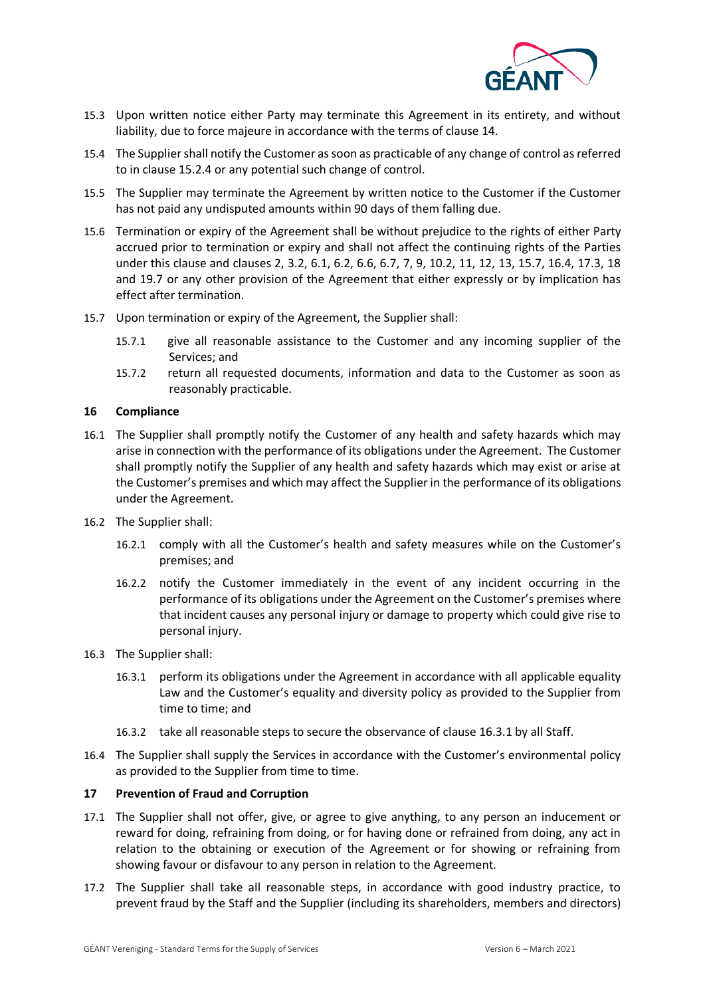

- 15.3 Upon written notice either Party may terminate this Agreement in its entirety, and without liability, due to force majeure in accordance with the terms of clause 14.
- 15.4 The Supplier shall notify the Customer as soon as practicable of any change of control as referred to in clause [15.2.4](#page-8-3) or any potential such change of control.
- <span id="page-9-0"></span>15.5 The Supplier may terminate the Agreement by written notice to the Customer if the Customer has not paid any undisputed amounts within 90 days of them falling due.
- 15.6 Termination or expiry of the Agreement shall be without prejudice to the rights of either Party accrued prior to termination or expiry and shall not affect the continuing rights of the Parties under this clause and clauses [2,](#page-1-0) [3.2,](#page-1-1) [6.1,](#page-3-0) [6.2,](#page-3-1) [6.6,](#page-3-2) [6.7,](#page-3-3) [7,](#page-4-1) [9,](#page-4-2) [10.2,](#page-5-3) [11,](#page-5-2) [12,](#page-6-2) [13,](#page-7-2) 15.7, [16.4,](#page-9-2) [17.3,](#page-10-1) [18](#page-10-0) and [19.7](#page-11-0) or any other provision of the Agreement that either expressly or by implication has effect after termination.
- 15.7 Upon termination or expiry of the Agreement, the Supplier shall:
	- 15.7.1 give all reasonable assistance to the Customer and any incoming supplier of the Services; and
	- 15.7.2 return all requested documents, information and data to the Customer as soon as reasonably practicable.

#### <span id="page-9-1"></span>**16 Compliance**

- 16.1 The Supplier shall promptly notify the Customer of any health and safety hazards which may arise in connection with the performance of its obligations under the Agreement. The Customer shall promptly notify the Supplier of any health and safety hazards which may exist or arise at the Customer's premises and which may affect the Supplier in the performance of its obligations under the Agreement.
- 16.2 The Supplier shall:
	- 16.2.1 comply with all the Customer's health and safety measures while on the Customer's premises; and
	- 16.2.2 notify the Customer immediately in the event of any incident occurring in the performance of its obligations under the Agreement on the Customer's premises where that incident causes any personal injury or damage to property which could give rise to personal injury.
- <span id="page-9-3"></span>16.3 The Supplier shall:
	- 16.3.1 perform its obligations under the Agreement in accordance with all applicable equality Law and the Customer's equality and diversity policy as provided to the Supplier from time to time; and
	- 16.3.2 take all reasonable steps to secure the observance of clause [16.3.1](#page-9-3) by all Staff.
- <span id="page-9-2"></span>16.4 The Supplier shall supply the Services in accordance with the Customer's environmental policy as provided to the Supplier from time to time.

#### **17 Prevention of Fraud and Corruption**

- <span id="page-9-4"></span>17.1 The Supplier shall not offer, give, or agree to give anything, to any person an inducement or reward for doing, refraining from doing, or for having done or refrained from doing, any act in relation to the obtaining or execution of the Agreement or for showing or refraining from showing favour or disfavour to any person in relation to the Agreement.
- 17.2 The Supplier shall take all reasonable steps, in accordance with good industry practice, to prevent fraud by the Staff and the Supplier (including its shareholders, members and directors)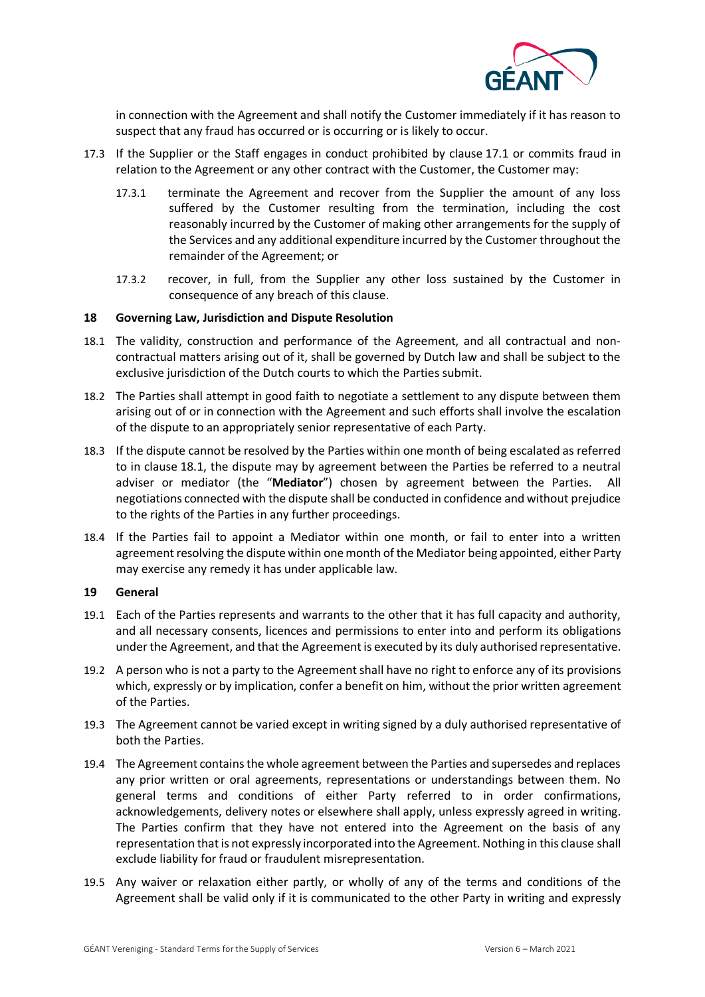

in connection with the Agreement and shall notify the Customer immediately if it has reason to suspect that any fraud has occurred or is occurring or is likely to occur.

- <span id="page-10-1"></span>17.3 If the Supplier or the Staff engages in conduct prohibited by clause [17.1](#page-9-4) or commits fraud in relation to the Agreement or any other contract with the Customer, the Customer may:
	- 17.3.1 terminate the Agreement and recover from the Supplier the amount of any loss suffered by the Customer resulting from the termination, including the cost reasonably incurred by the Customer of making other arrangements for the supply of the Services and any additional expenditure incurred by the Customer throughout the remainder of the Agreement; or
	- 17.3.2 recover, in full, from the Supplier any other loss sustained by the Customer in consequence of any breach of this clause.

#### <span id="page-10-0"></span>**18 Governing Law, Jurisdiction and Dispute Resolution**

- <span id="page-10-2"></span>18.1 The validity, construction and performance of the Agreement, and all contractual and noncontractual matters arising out of it, shall be governed by Dutch law and shall be subject to the exclusive jurisdiction of the Dutch courts to which the Parties submit.
- 18.2 The Parties shall attempt in good faith to negotiate a settlement to any dispute between them arising out of or in connection with the Agreement and such efforts shall involve the escalation of the dispute to an appropriately senior representative of each Party.
- 18.3 If the dispute cannot be resolved by the Parties within one month of being escalated as referred to in clause [18.1,](#page-10-2) the dispute may by agreement between the Parties be referred to a neutral adviser or mediator (the "**Mediator**") chosen by agreement between the Parties. All negotiations connected with the dispute shall be conducted in confidence and without prejudice to the rights of the Parties in any further proceedings.
- 18.4 If the Parties fail to appoint a Mediator within one month, or fail to enter into a written agreement resolving the dispute within one month of the Mediator being appointed, either Party may exercise any remedy it has under applicable law.

#### **19 General**

- 19.1 Each of the Parties represents and warrants to the other that it has full capacity and authority, and all necessary consents, licences and permissions to enter into and perform its obligations under the Agreement, and that the Agreement is executed by its duly authorised representative.
- 19.2 A person who is not a party to the Agreement shall have no right to enforce any of its provisions which, expressly or by implication, confer a benefit on him, without the prior written agreement of the Parties.
- 19.3 The Agreement cannot be varied except in writing signed by a duly authorised representative of both the Parties.
- 19.4 The Agreement contains the whole agreement between the Parties and supersedes and replaces any prior written or oral agreements, representations or understandings between them. No general terms and conditions of either Party referred to in order confirmations, acknowledgements, delivery notes or elsewhere shall apply, unless expressly agreed in writing. The Parties confirm that they have not entered into the Agreement on the basis of any representation that is not expressly incorporated into the Agreement. Nothing in this clause shall exclude liability for fraud or fraudulent misrepresentation.
- 19.5 Any waiver or relaxation either partly, or wholly of any of the terms and conditions of the Agreement shall be valid only if it is communicated to the other Party in writing and expressly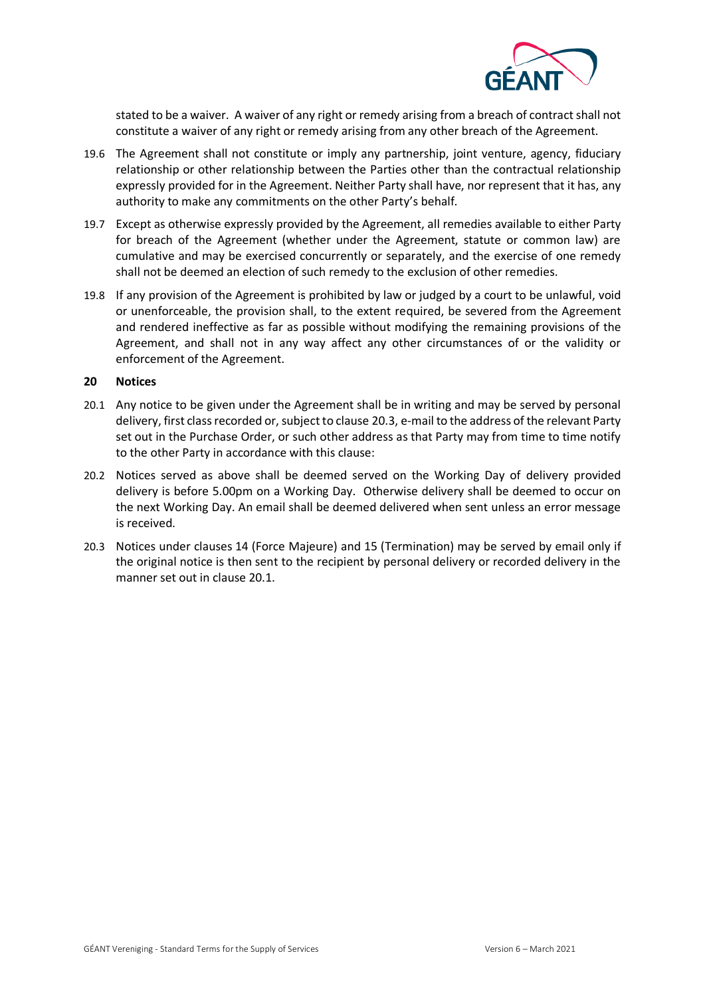

stated to be a waiver. A waiver of any right or remedy arising from a breach of contract shall not constitute a waiver of any right or remedy arising from any other breach of the Agreement.

- 19.6 The Agreement shall not constitute or imply any partnership, joint venture, agency, fiduciary relationship or other relationship between the Parties other than the contractual relationship expressly provided for in the Agreement. Neither Party shall have, nor represent that it has, any authority to make any commitments on the other Party's behalf.
- <span id="page-11-0"></span>19.7 Except as otherwise expressly provided by the Agreement, all remedies available to either Party for breach of the Agreement (whether under the Agreement, statute or common law) are cumulative and may be exercised concurrently or separately, and the exercise of one remedy shall not be deemed an election of such remedy to the exclusion of other remedies.
- 19.8 If any provision of the Agreement is prohibited by law or judged by a court to be unlawful, void or unenforceable, the provision shall, to the extent required, be severed from the Agreement and rendered ineffective as far as possible without modifying the remaining provisions of the Agreement, and shall not in any way affect any other circumstances of or the validity or enforcement of the Agreement.

#### **20 Notices**

- <span id="page-11-2"></span>20.1 Any notice to be given under the Agreement shall be in writing and may be served by personal delivery, first class recorded or, subject to clause [20.3,](#page-11-1) e-mail to the address of the relevant Party set out in the Purchase Order, or such other address as that Party may from time to time notify to the other Party in accordance with this clause:
- 20.2 Notices served as above shall be deemed served on the Working Day of delivery provided delivery is before 5.00pm on a Working Day. Otherwise delivery shall be deemed to occur on the next Working Day. An email shall be deemed delivered when sent unless an error message is received.
- <span id="page-11-1"></span>20.3 Notices under clauses [14](#page-8-4) (Force Majeure) and [15](#page-8-5) (Termination) may be served by email only if the original notice is then sent to the recipient by personal delivery or recorded delivery in the manner set out in clause [20.1.](#page-11-2)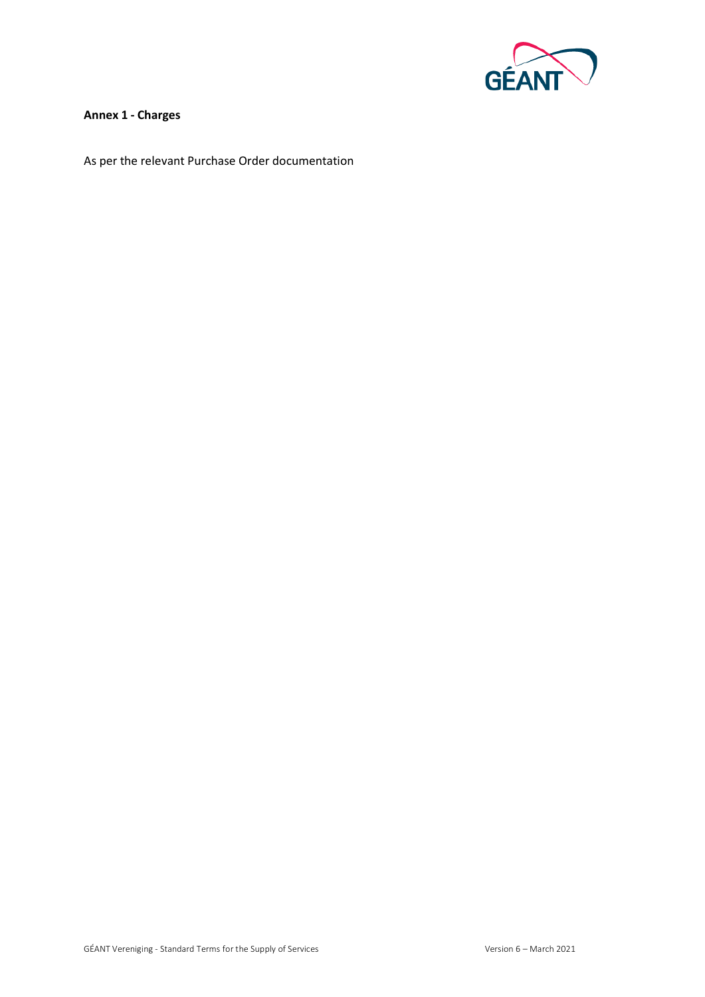

# **Annex 1 - Charges**

As per the relevant Purchase Order documentation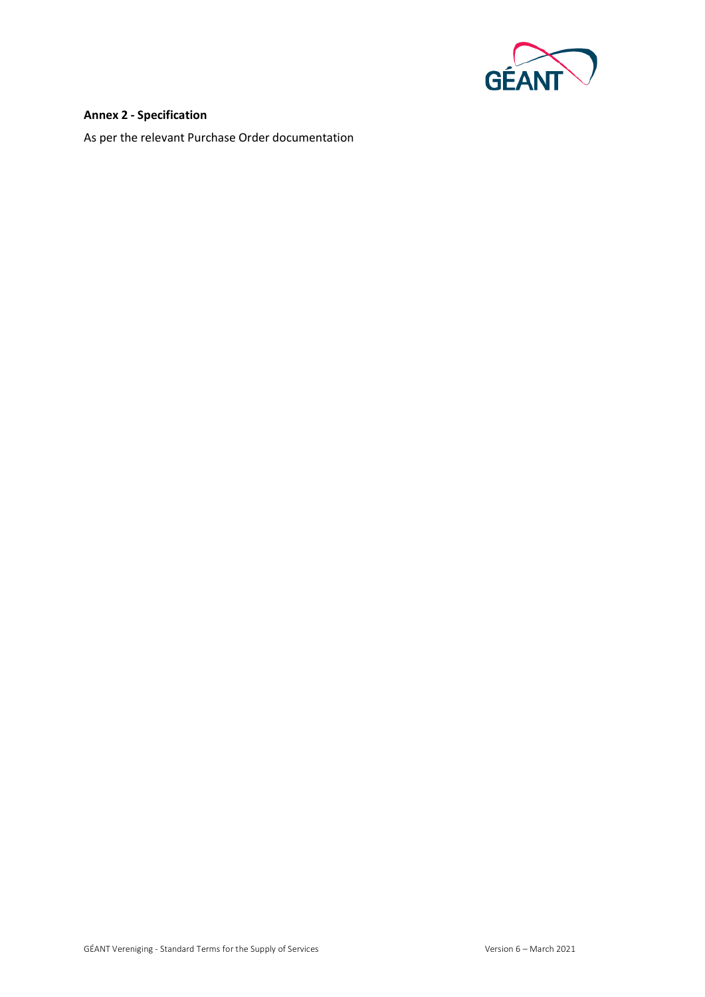

## **Annex 2 - Specification**

As per the relevant Purchase Order documentation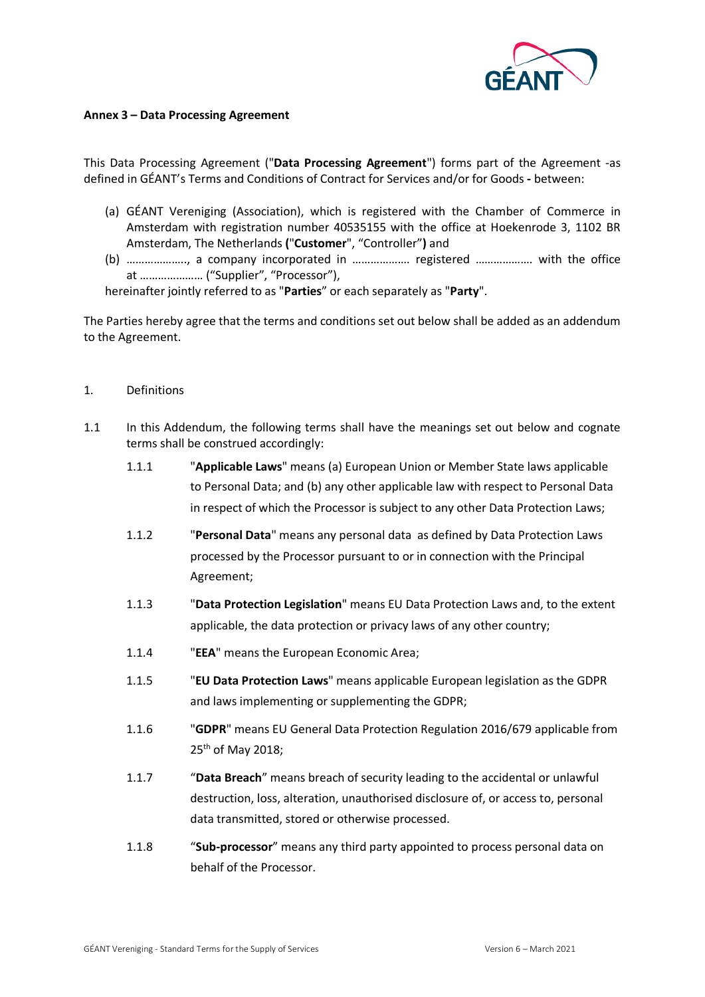

#### **Annex 3 – Data Processing Agreement**

This Data Processing Agreement ("**Data Processing Agreement**") forms part of the Agreement -as defined in GÉANT's Terms and Conditions of Contract for Services and/or for Goods **-** between:

- (a) GÉANT Vereniging (Association), which is registered with the Chamber of Commerce in Amsterdam with registration number 40535155 with the office at Hoekenrode 3, 1102 BR Amsterdam, The Netherlands **(**"**Customer**", "Controller"**)** and
- (b) ……………….., a company incorporated in ………………. registered ………………. with the office at ………………… ("Supplier", "Processor"),

hereinafter jointly referred to as "**Parties**" or each separately as "**Party**".

The Parties hereby agree that the terms and conditions set out below shall be added as an addendum to the Agreement.

- 1. Definitions
- 1.1 In this Addendum, the following terms shall have the meanings set out below and cognate terms shall be construed accordingly:
	- 1.1.1 "**Applicable Laws**" means (a) European Union or Member State laws applicable to Personal Data; and (b) any other applicable law with respect to Personal Data in respect of which the Processor is subject to any other Data Protection Laws;
	- 1.1.2 "**Personal Data**" means any personal data as defined by Data Protection Laws processed by the Processor pursuant to or in connection with the Principal Agreement;
	- 1.1.3 "**Data Protection Legislation**" means EU Data Protection Laws and, to the extent applicable, the data protection or privacy laws of any other country;
	- 1.1.4 "**EEA**" means the European Economic Area;
	- 1.1.5 "**EU Data Protection Laws**" means applicable European legislation as the GDPR and laws implementing or supplementing the GDPR;
	- 1.1.6 "**GDPR**" means EU General Data Protection Regulation 2016/679 applicable from 25<sup>th</sup> of May 2018:
	- 1.1.7 "**Data Breach**" means breach of security leading to the accidental or unlawful destruction, loss, alteration, unauthorised disclosure of, or access to, personal data transmitted, stored or otherwise processed.
	- 1.1.8 "**Sub-processor**" means any third party appointed to process personal data on behalf of the Processor.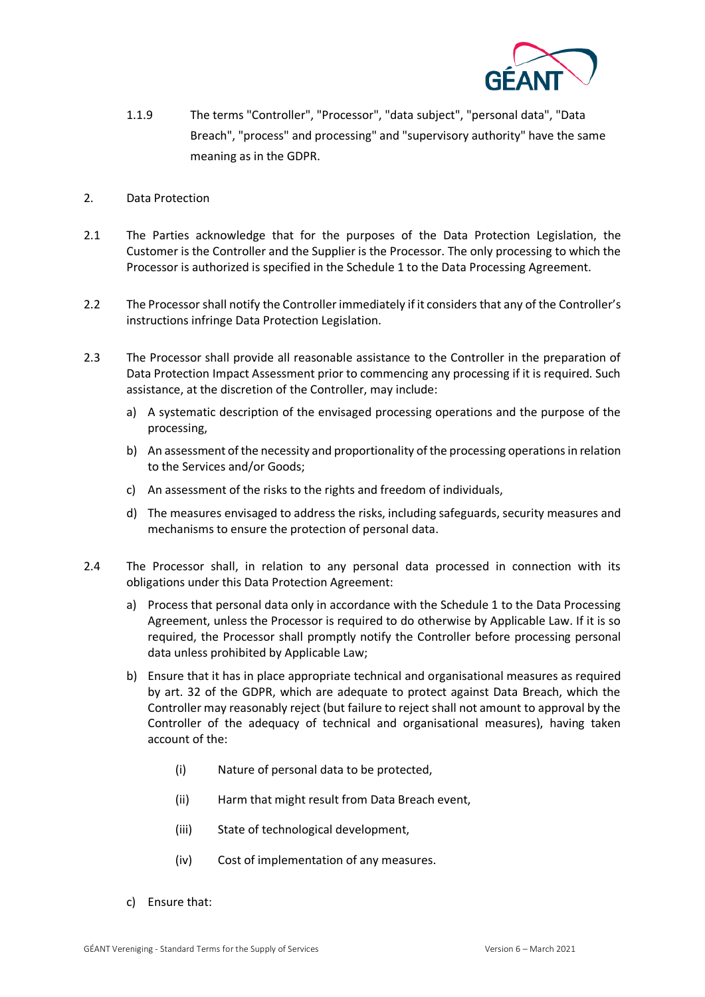

- 1.1.9 The terms "Controller", "Processor", "data subject", "personal data", "Data Breach", "process" and processing" and "supervisory authority" have the same meaning as in the GDPR.
- 2. Data Protection
- 2.1 The Parties acknowledge that for the purposes of the Data Protection Legislation, the Customer is the Controller and the Supplier is the Processor. The only processing to which the Processor is authorized is specified in the Schedule 1 to the Data Processing Agreement.
- 2.2 The Processor shall notify the Controller immediately if it considers that any of the Controller's instructions infringe Data Protection Legislation.
- 2.3 The Processor shall provide all reasonable assistance to the Controller in the preparation of Data Protection Impact Assessment prior to commencing any processing if it is required. Such assistance, at the discretion of the Controller, may include:
	- a) A systematic description of the envisaged processing operations and the purpose of the processing,
	- b) An assessment of the necessity and proportionality of the processing operations in relation to the Services and/or Goods;
	- c) An assessment of the risks to the rights and freedom of individuals,
	- d) The measures envisaged to address the risks, including safeguards, security measures and mechanisms to ensure the protection of personal data.
- 2.4 The Processor shall, in relation to any personal data processed in connection with its obligations under this Data Protection Agreement:
	- a) Process that personal data only in accordance with the Schedule 1 to the Data Processing Agreement, unless the Processor is required to do otherwise by Applicable Law. If it is so required, the Processor shall promptly notify the Controller before processing personal data unless prohibited by Applicable Law;
	- b) Ensure that it has in place appropriate technical and organisational measures as required by art. 32 of the GDPR, which are adequate to protect against Data Breach, which the Controller may reasonably reject (but failure to reject shall not amount to approval by the Controller of the adequacy of technical and organisational measures), having taken account of the:
		- (i) Nature of personal data to be protected,
		- (ii) Harm that might result from Data Breach event,
		- (iii) State of technological development,
		- (iv) Cost of implementation of any measures.
	- c) Ensure that: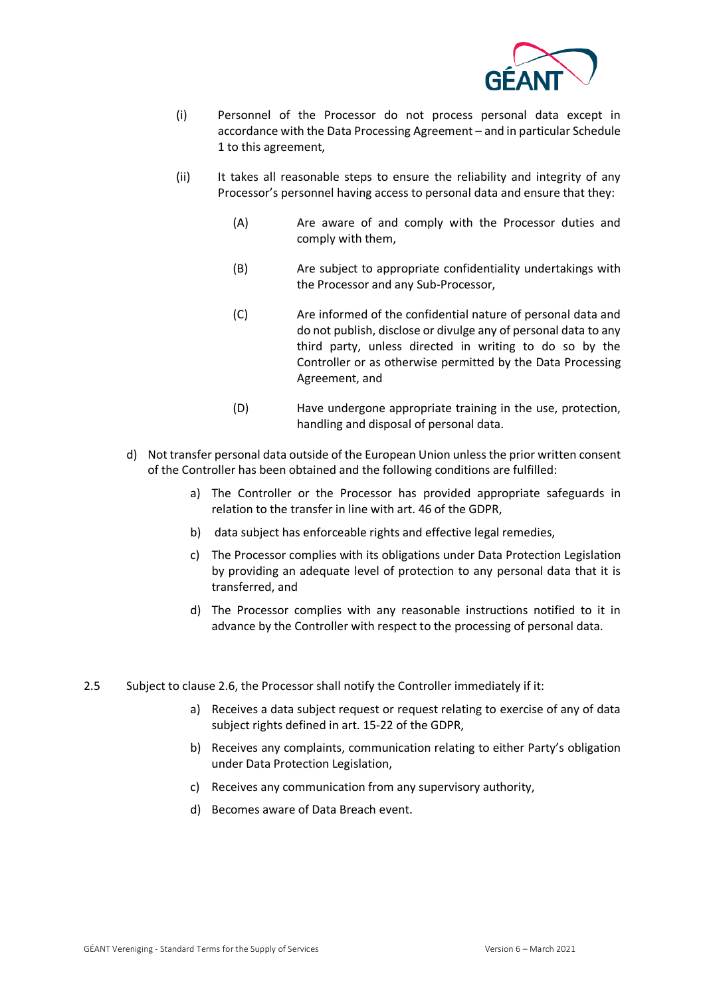

- (i) Personnel of the Processor do not process personal data except in accordance with the Data Processing Agreement – and in particular Schedule 1 to this agreement,
- (ii) It takes all reasonable steps to ensure the reliability and integrity of any Processor's personnel having access to personal data and ensure that they:
	- (A) Are aware of and comply with the Processor duties and comply with them,
	- (B) Are subject to appropriate confidentiality undertakings with the Processor and any Sub-Processor,
	- (C) Are informed of the confidential nature of personal data and do not publish, disclose or divulge any of personal data to any third party, unless directed in writing to do so by the Controller or as otherwise permitted by the Data Processing Agreement, and
	- (D) Have undergone appropriate training in the use, protection, handling and disposal of personal data.
- d) Not transfer personal data outside of the European Union unless the prior written consent of the Controller has been obtained and the following conditions are fulfilled:
	- a) The Controller or the Processor has provided appropriate safeguards in relation to the transfer in line with art. 46 of the GDPR,
	- b) data subject has enforceable rights and effective legal remedies,
	- c) The Processor complies with its obligations under Data Protection Legislation by providing an adequate level of protection to any personal data that it is transferred, and
	- d) The Processor complies with any reasonable instructions notified to it in advance by the Controller with respect to the processing of personal data.
- 2.5 Subject to clause 2.6, the Processor shall notify the Controller immediately if it:
	- a) Receives a data subject request or request relating to exercise of any of data subject rights defined in art. 15-22 of the GDPR,
	- b) Receives any complaints, communication relating to either Party's obligation under Data Protection Legislation,
	- c) Receives any communication from any supervisory authority,
	- d) Becomes aware of Data Breach event.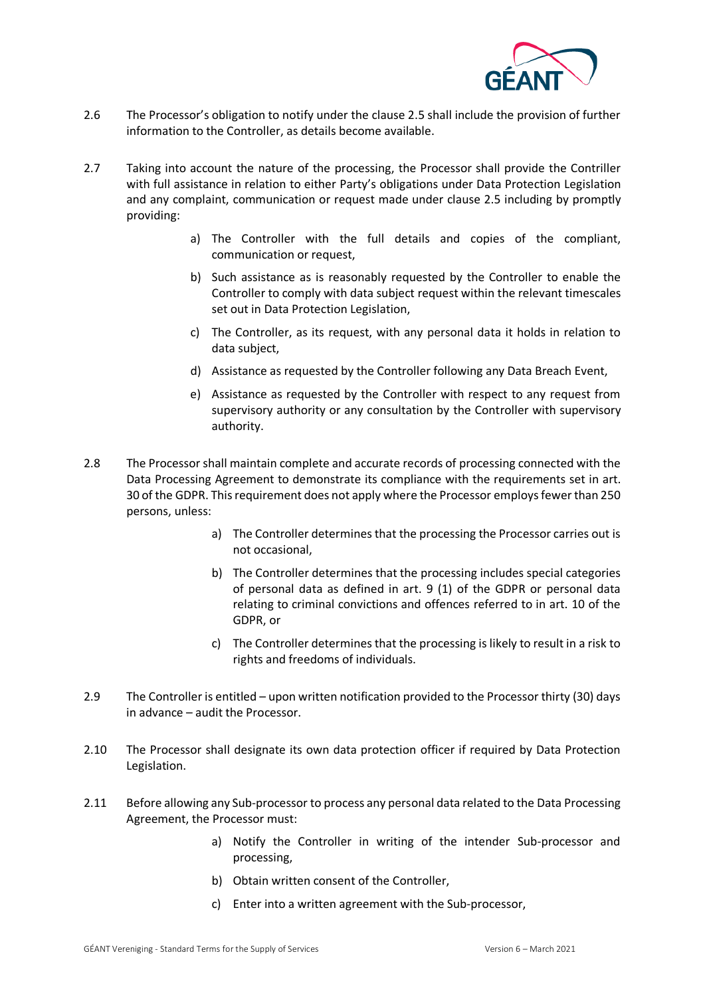

- 2.6 The Processor's obligation to notify under the clause 2.5 shall include the provision of further information to the Controller, as details become available.
- 2.7 Taking into account the nature of the processing, the Processor shall provide the Contriller with full assistance in relation to either Party's obligations under Data Protection Legislation and any complaint, communication or request made under clause 2.5 including by promptly providing:
	- a) The Controller with the full details and copies of the compliant, communication or request,
	- b) Such assistance as is reasonably requested by the Controller to enable the Controller to comply with data subject request within the relevant timescales set out in Data Protection Legislation,
	- c) The Controller, as its request, with any personal data it holds in relation to data subject,
	- d) Assistance as requested by the Controller following any Data Breach Event,
	- e) Assistance as requested by the Controller with respect to any request from supervisory authority or any consultation by the Controller with supervisory authority.
- 2.8 The Processor shall maintain complete and accurate records of processing connected with the Data Processing Agreement to demonstrate its compliance with the requirements set in art. 30 of the GDPR. This requirement does not apply where the Processor employs fewer than 250 persons, unless:
	- a) The Controller determines that the processing the Processor carries out is not occasional,
	- b) The Controller determines that the processing includes special categories of personal data as defined in art. 9 (1) of the GDPR or personal data relating to criminal convictions and offences referred to in art. 10 of the GDPR, or
	- c) The Controller determines that the processing is likely to result in a risk to rights and freedoms of individuals.
- 2.9 The Controller is entitled upon written notification provided to the Processor thirty (30) days in advance – audit the Processor.
- 2.10 The Processor shall designate its own data protection officer if required by Data Protection Legislation.
- 2.11 Before allowing any Sub-processor to process any personal data related to the Data Processing Agreement, the Processor must:
	- a) Notify the Controller in writing of the intender Sub-processor and processing,
	- b) Obtain written consent of the Controller,
	- c) Enter into a written agreement with the Sub-processor,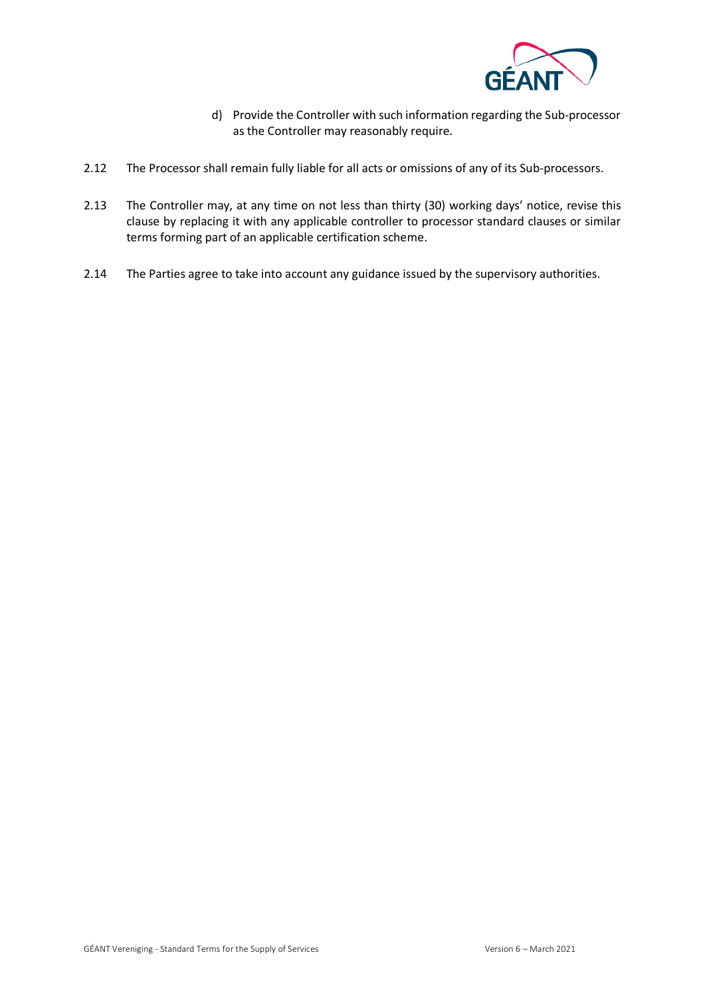

- d) Provide the Controller with such information regarding the Sub-processor as the Controller may reasonably require.
- 2.12 The Processor shall remain fully liable for all acts or omissions of any of its Sub-processors.
- 2.13 The Controller may, at any time on not less than thirty (30) working days' notice, revise this clause by replacing it with any applicable controller to processor standard clauses or similar terms forming part of an applicable certification scheme.
- 2.14 The Parties agree to take into account any guidance issued by the supervisory authorities.